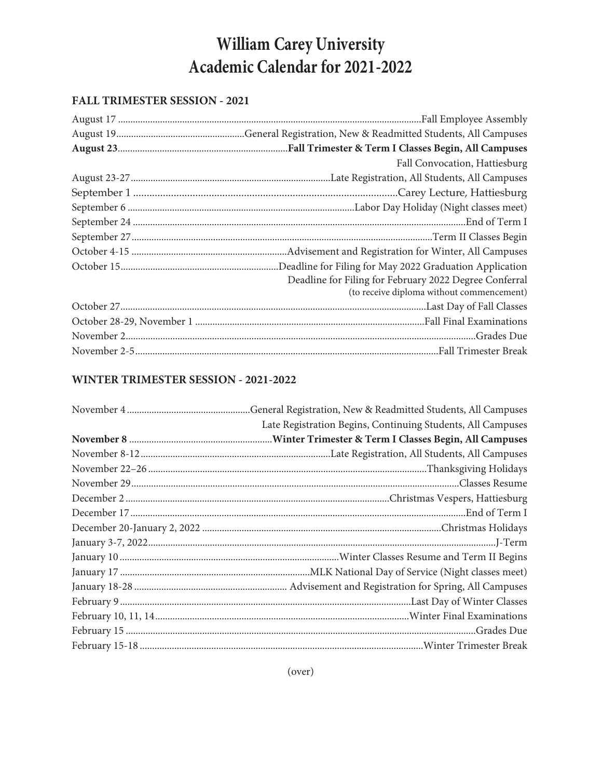# **William Carey University Academic Calendar for 2021-2022**

#### **FALL TRIMESTER SESSION - 2021**

| Fall Convocation, Hattiesburg                          |
|--------------------------------------------------------|
|                                                        |
|                                                        |
|                                                        |
|                                                        |
|                                                        |
|                                                        |
|                                                        |
| Deadline for Filing for February 2022 Degree Conferral |
| (to receive diploma without commencement)              |
|                                                        |
|                                                        |
|                                                        |
|                                                        |

## **WINTER TRIMESTER SESSION - 2021-2022**

| Late Registration Begins, Continuing Students, All Campuses |
|-------------------------------------------------------------|
|                                                             |
|                                                             |
|                                                             |
|                                                             |
|                                                             |
|                                                             |
|                                                             |
|                                                             |
|                                                             |
|                                                             |
|                                                             |
|                                                             |
|                                                             |
|                                                             |
|                                                             |